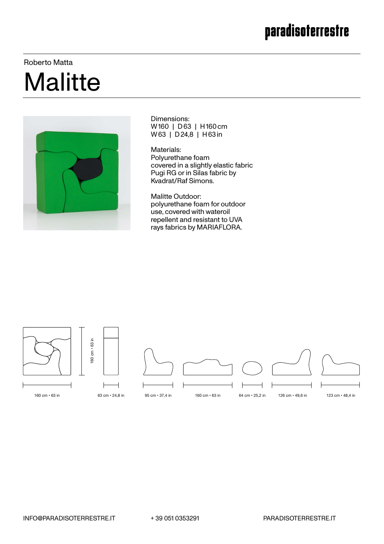### paradisoterrestre

#### Roberto Matta

# **Malitte**



Dimensions: W 160 | D 63 | H 160 cm W 63 | D 24,8 | H 63 in

Materials: Polyurethane foam covered in a slightly elastic fabric Pugi RG or in Silas fabric by Kvadrat/Raf Simons.

Malitte Outdoor: polyurethane foam for outdoor use, covered with wateroil repellent and resistant to UVA rays fabrics by MARIAFLORA.

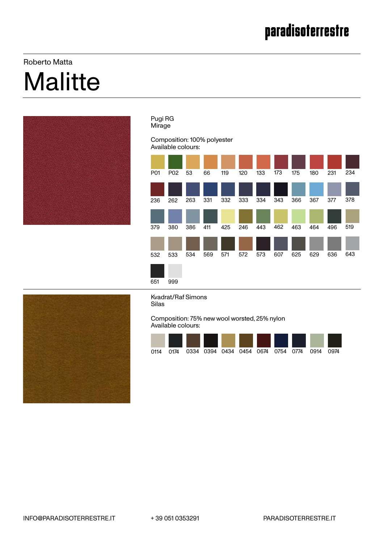## Roberto Matta **Malitte**



#### Pugi RG Mirage

#### Composition: 100% polyester Available colours:





Kvadrat/Raf Simons Silas

Composition: 75% new wool worsted, 25% nylon Available colours:

| 0114 | 0174   0334   0394   0434   0454   0674   0754   0774 |  |  |  | 0914 | 0974 |  |
|------|-------------------------------------------------------|--|--|--|------|------|--|